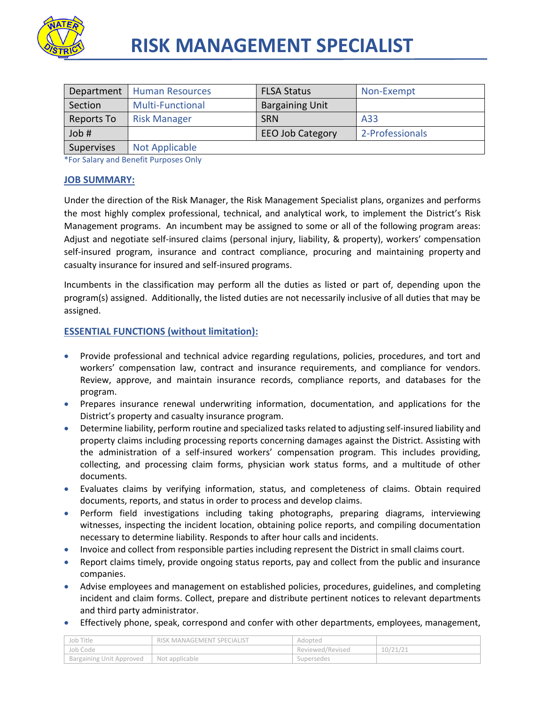

| Department | Human Resources         | <b>FLSA Status</b>      | Non-Exempt      |
|------------|-------------------------|-------------------------|-----------------|
| Section    | <b>Multi-Functional</b> | <b>Bargaining Unit</b>  |                 |
| Reports To | <b>Risk Manager</b>     | <b>SRN</b>              | A33             |
| Job #      |                         | <b>EEO Job Category</b> | 2-Professionals |
| Supervises | <b>Not Applicable</b>   |                         |                 |

\*For Salary and Benefit Purposes Only

#### **JOB SUMMARY:**

Under the direction of the Risk Manager, the Risk Management Specialist plans, organizes and performs the most highly complex professional, technical, and analytical work, to implement the District's Risk Management programs. An incumbent may be assigned to some or all of the following program areas: Adjust and negotiate self-insured claims (personal injury, liability, & property), workers' compensation self-insured program, insurance and contract compliance, procuring and maintaining property and casualty insurance for insured and self-insured programs.

Incumbents in the classification may perform all the duties as listed or part of, depending upon the program(s) assigned. Additionally, the listed duties are not necessarily inclusive of all duties that may be assigned.

## **ESSENTIAL FUNCTIONS (without limitation):**

- Provide professional and technical advice regarding regulations, policies, procedures, and tort and workers' compensation law, contract and insurance requirements, and compliance for vendors. Review, approve, and maintain insurance records, compliance reports, and databases for the program.
- Prepares insurance renewal underwriting information, documentation, and applications for the District's property and casualty insurance program.
- Determine liability, perform routine and specialized tasks related to adjusting self-insured liability and property claims including processing reports concerning damages against the District. Assisting with the administration of a self-insured workers' compensation program. This includes providing, collecting, and processing claim forms, physician work status forms, and a multitude of other documents.
- Evaluates claims by verifying information, status, and completeness of claims. Obtain required documents, reports, and status in order to process and develop claims.
- Perform field investigations including taking photographs, preparing diagrams, interviewing witnesses, inspecting the incident location, obtaining police reports, and compiling documentation necessary to determine liability. Responds to after hour calls and incidents.
- Invoice and collect from responsible parties including represent the District in small claims court.
- Report claims timely, provide ongoing status reports, pay and collect from the public and insurance companies.
- Advise employees and management on established policies, procedures, guidelines, and completing incident and claim forms. Collect, prepare and distribute pertinent notices to relevant departments and third party administrator.
- Effectively phone, speak, correspond and confer with other departments, employees, management,

| Job Title                | RISK MANAGEMENT SPECIALIST | Adopted          |          |
|--------------------------|----------------------------|------------------|----------|
| Job Code                 |                            | Reviewed/Revised | 10/21/21 |
| Bargaining Unit Approved | Not applicable             | Supersedes       |          |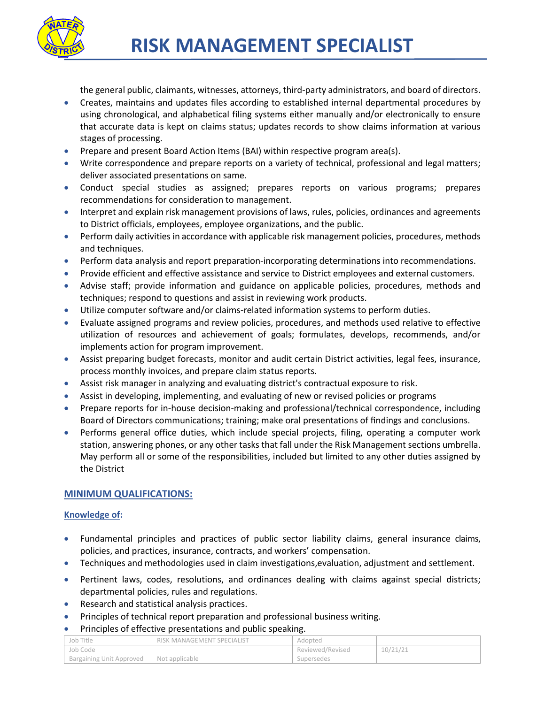

the general public, claimants, witnesses, attorneys, third-party administrators, and board of directors.

- Creates, maintains and updates files according to established internal departmental procedures by using chronological, and alphabetical filing systems either manually and/or electronically to ensure that accurate data is kept on claims status; updates records to show claims information at various stages of processing.
- **•** Prepare and present Board Action Items (BAI) within respective program area(s).
- Write correspondence and prepare reports on a variety of technical, professional and legal matters; deliver associated presentations on same.
- Conduct special studies as assigned; prepares reports on various programs; prepares recommendations for consideration to management.
- Interpret and explain risk management provisions of laws, rules, policies, ordinances and agreements to District officials, employees, employee organizations, and the public.
- **Perform daily activities in accordance with applicable risk management policies, procedures, methods** and techniques.
- **•** Perform data analysis and report preparation-incorporating determinations into recommendations.
- **Provide efficient and effective assistance and service to District employees and external customers.**
- Advise staff; provide information and guidance on applicable policies, procedures, methods and techniques; respond to questions and assist in reviewing work products.
- Utilize computer software and/or claims-related information systems to perform duties.
- Evaluate assigned programs and review policies, procedures, and methods used relative to effective utilization of resources and achievement of goals; formulates, develops, recommends, and/or implements action for program improvement.
- Assist preparing budget forecasts, monitor and audit certain District activities, legal fees, insurance, process monthly invoices, and prepare claim status reports.
- Assist risk manager in analyzing and evaluating district's contractual exposure to risk.
- Assist in developing, implementing, and evaluating of new or revised policies or programs
- Prepare reports for in-house decision-making and professional/technical correspondence, including Board of Directors communications; training; make oral presentations of findings and conclusions.
- Performs general office duties, which include special projects, filing, operating a computer work station, answering phones, or any other tasks that fall under the Risk Management sections umbrella. May perform all or some of the responsibilities, included but limited to any other duties assigned by the District

# **MINIMUM QUALIFICATIONS:**

## **Knowledge of:**

- Fundamental principles and practices of public sector liability claims, general insurance claims, policies, and practices, insurance, contracts, and workers' compensation.
- Techniques and methodologies used in claim investigations,evaluation, adjustment and settlement.
- Pertinent laws, codes, resolutions, and ordinances dealing with claims against special districts; departmental policies, rules and regulations.
- Research and statistical analysis practices.
- Principles of technical report preparation and professional business writing.

## Principles of effective presentations and public speaking.

| Job Title                | RISK MANAGEMENT SPECIALIST | Adopted          |          |
|--------------------------|----------------------------|------------------|----------|
| Job Code                 |                            | Reviewed/Revised | 10/21/21 |
| Bargaining Unit Approved | Not applicable             | Supersedes       |          |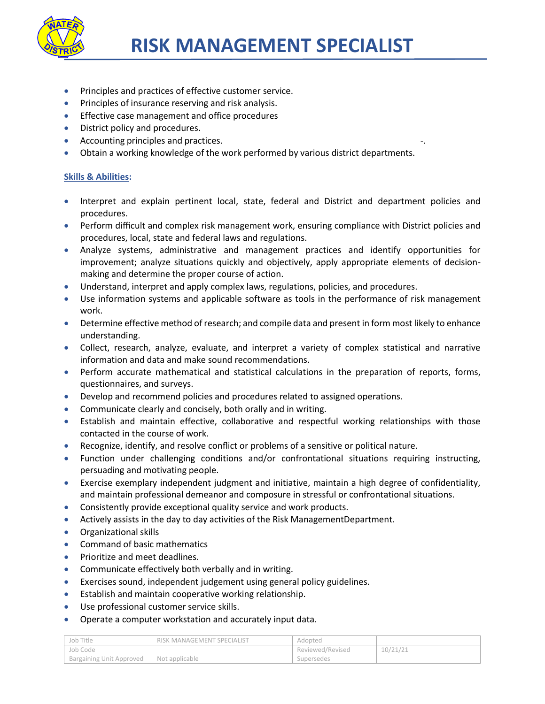

- Principles and practices of effective customer service.
- **•** Principles of insurance reserving and risk analysis.
- **Effective case management and office procedures**
- District policy and procedures.
- Accounting principles and practices.
- Obtain a working knowledge of the work performed by various district departments.

#### **Skills & Abilities:**

- Interpret and explain pertinent local, state, federal and District and department policies and procedures.
- Perform difficult and complex risk management work, ensuring compliance with District policies and procedures, local, state and federal laws and regulations.
- Analyze systems, administrative and management practices and identify opportunities for improvement; analyze situations quickly and objectively, apply appropriate elements of decisionmaking and determine the proper course of action.
- Understand, interpret and apply complex laws, regulations, policies, and procedures.
- Use information systems and applicable software as tools in the performance of risk management work.
- Determine effective method of research; and compile data and present in form most likely to enhance understanding.
- Collect, research, analyze, evaluate, and interpret a variety of complex statistical and narrative information and data and make sound recommendations.
- Perform accurate mathematical and statistical calculations in the preparation of reports, forms, questionnaires, and surveys.
- Develop and recommend policies and procedures related to assigned operations.
- Communicate clearly and concisely, both orally and in writing.
- Establish and maintain effective, collaborative and respectful working relationships with those contacted in the course of work.
- Recognize, identify, and resolve conflict or problems of a sensitive or political nature.
- Function under challenging conditions and/or confrontational situations requiring instructing, persuading and motivating people.
- Exercise exemplary independent judgment and initiative, maintain a high degree of confidentiality, and maintain professional demeanor and composure in stressful or confrontational situations.
- Consistently provide exceptional quality service and work products.
- Actively assists in the day to day activities of the Risk ManagementDepartment.
- Organizational skills
- Command of basic mathematics
- Prioritize and meet deadlines.
- Communicate effectively both verbally and in writing.
- Exercises sound, independent judgement using general policy guidelines.
- Establish and maintain cooperative working relationship.
- Use professional customer service skills.
- Operate a computer workstation and accurately input data.

| Job Title                       | RISK MANAGEMENT SPECIALIST | Adopted          |         |
|---------------------------------|----------------------------|------------------|---------|
| 'Job Code                       |                            | Reviewed/Revised | 10/21/2 |
| <b>Bargaining Unit Approved</b> | Not applicable             | Supersedes       |         |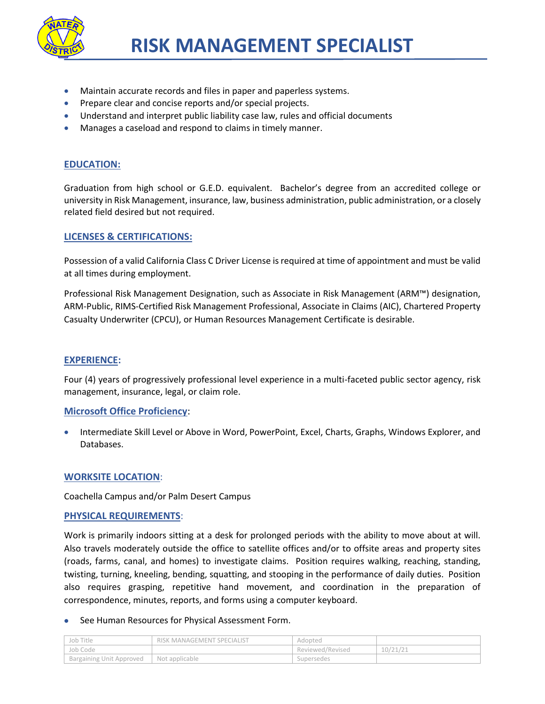

- Maintain accurate records and files in paper and paperless systems.
- **•** Prepare clear and concise reports and/or special projects.
- Understand and interpret public liability case law, rules and official documents
- Manages a caseload and respond to claims in timely manner.

# **EDUCATION:**

Graduation from high school or G.E.D. equivalent. Bachelor's degree from an accredited college or university in Risk Management, insurance, law, business administration, public administration, or a closely related field desired but not required.

## **LICENSES & CERTIFICATIONS:**

Possession of a valid California Class C Driver License is required at time of appointment and must be valid at all times during employment.

Professional Risk Management Designation, such as Associate in Risk Management (ARM™) designation, ARM-Public, RIMS-Certified Risk Management Professional, Associate in Claims (AIC), Chartered Property Casualty Underwriter (CPCU), or Human Resources Management Certificate is desirable.

## **EXPERIENCE:**

Four (4) years of progressively professional level experience in a multi-faceted public sector agency, risk management, insurance, legal, or claim role.

## **Microsoft Office Proficiency**:

 Intermediate Skill Level or Above in Word, PowerPoint, Excel, Charts, Graphs, Windows Explorer, and Databases.

## **WORKSITE LOCATION**:

Coachella Campus and/or Palm Desert Campus

## **PHYSICAL REQUIREMENTS**:

Work is primarily indoors sitting at a desk for prolonged periods with the ability to move about at will. Also travels moderately outside the office to satellite offices and/or to offsite areas and property sites (roads, farms, canal, and homes) to investigate claims. Position requires walking, reaching, standing, twisting, turning, kneeling, bending, squatting, and stooping in the performance of daily duties. Position also requires grasping, repetitive hand movement, and coordination in the preparation of correspondence, minutes, reports, and forms using a computer keyboard.

#### See Human Resources for Physical Assessment Form.

| Job Title                | RISK MANAGEMENT SPECIALIST | Adopted          |          |
|--------------------------|----------------------------|------------------|----------|
| Job Code                 |                            | Reviewed/Revised | 10/21/21 |
| Bargaining Unit Approved | Not applicable             | Supersedes       |          |